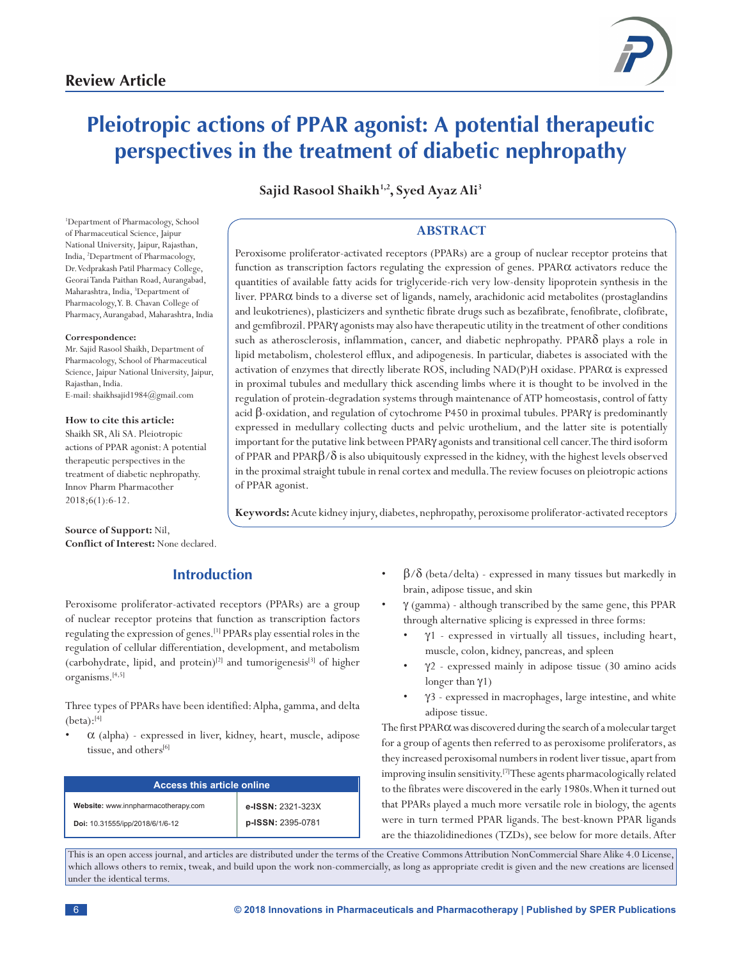

# **Pleiotropic actions of PPAR agonist: A potential therapeutic perspectives in the treatment of diabetic nephropathy**

**Sajid Rasool Shaikh1,2, Syed Ayaz Ali3**

1 Department of Pharmacology, School of Pharmaceutical Science, Jaipur National University, Jaipur, Rajasthan, India, 2 Department of Pharmacology, Dr.Vedprakash Patil Pharmacy College, Georai Tanda Paithan Road, Aurangabad, Maharashtra, India, <sup>3</sup>Department of Pharmacology, Y. B. Chavan College of Pharmacy, Aurangabad, Maharashtra, India

#### **Correspondence:**

Mr. Sajid Rasool Shaikh, Department of Pharmacology, School of Pharmaceutical Science, Jaipur National University, Jaipur, Rajasthan, India. E-mail: shaikhsajid1984@gmail.com

**How to cite this article:** Shaikh SR, Ali SA. Pleiotropic actions of PPAR agonist: A potential therapeutic perspectives in the treatment of diabetic nephropathy. Innov Pharm Pharmacother 2018;6(1):6-12.

regulation of protein-degradation systems through maintenance of ATP homeostasis, control of fatty acid β-oxidation, and regulation of cytochrome P450 in proximal tubules. PPARγ is predominantly expressed in medullary collecting ducts and pelvic urothelium, and the latter site is potentially

> of PPAR and PPAR $\beta/\delta$  is also ubiquitously expressed in the kidney, with the highest levels observed in the proximal straight tubule in renal cortex and medulla. The review focuses on pleiotropic actions of PPAR agonist.

**Keywords:** Acute kidney injury, diabetes, nephropathy, peroxisome proliferator-activated receptors

important for the putative link between PPARγ agonists and transitional cell cancer. The third isoform

**ABSTRACT** Peroxisome proliferator-activated receptors (PPARs) are a group of nuclear receptor proteins that function as transcription factors regulating the expression of genes. PPARα activators reduce the quantities of available fatty acids for triglyceride-rich very low-density lipoprotein synthesis in the liver. PPARα binds to a diverse set of ligands, namely, arachidonic acid metabolites (prostaglandins and leukotrienes), plasticizers and synthetic fibrate drugs such as bezafibrate, fenofibrate, clofibrate, and gemfibrozil. PPARγ agonists may also have therapeutic utility in the treatment of other conditions such as atherosclerosis, inflammation, cancer, and diabetic nephropathy. PPARδ plays a role in lipid metabolism, cholesterol efflux, and adipogenesis. In particular, diabetes is associated with the activation of enzymes that directly liberate ROS, including NAD(P)H oxidase. PPARα is expressed in proximal tubules and medullary thick ascending limbs where it is thought to be involved in the

**Source of Support:** Nil, **Conflict of Interest:** None declared.

# **Introduction**

Peroxisome proliferator-activated receptors (PPARs) are a group of nuclear receptor proteins that function as transcription factors regulating the expression of genes.[1] PPARs play essential roles in the regulation of cellular differentiation, development, and metabolism (carbohydrate, lipid, and protein)<sup>[2]</sup> and tumorigenesis<sup>[3]</sup> of higher organisms.[4,5]

Three types of PPARs have been identified: Alpha, gamma, and delta  $(beta):^{[4]}$ 

 $\alpha$  (alpha) - expressed in liver, kidney, heart, muscle, adipose tissue, and others<sup>[6]</sup>

| <b>Access this article online</b>   |                   |
|-------------------------------------|-------------------|
| Website: www.innpharmacotherapy.com | e-ISSN: 2321-323X |
| Doi: 10.31555/ipp/2018/6/1/6-12     | p-ISSN: 2395-0781 |

- $\beta/\delta$  (beta/delta) expressed in many tissues but markedly in brain, adipose tissue, and skin
- $\gamma$  (gamma) although transcribed by the same gene, this PPAR through alternative splicing is expressed in three forms:
	- $\gamma$ 1 expressed in virtually all tissues, including heart, muscle, colon, kidney, pancreas, and spleen
	- $\gamma$ 2 expressed mainly in adipose tissue (30 amino acids longer than γ1)
	- γ3 expressed in macrophages, large intestine, and white adipose tissue.

The first PPARα was discovered during the search of a molecular target for a group of agents then referred to as peroxisome proliferators, as they increased peroxisomal numbers in rodent liver tissue, apart from improving insulin sensitivity.[7] These agents pharmacologically related to the fibrates were discovered in the early 1980s. When it turned out that PPARs played a much more versatile role in biology, the agents were in turn termed PPAR ligands. The best-known PPAR ligands are the thiazolidinediones (TZDs), see below for more details. After

This is an open access journal, and articles are distributed under the terms of the Creative Commons Attribution NonCommercial Share Alike 4.0 License, which allows others to remix, tweak, and build upon the work non-commercially, as long as appropriate credit is given and the new creations are licensed under the identical terms.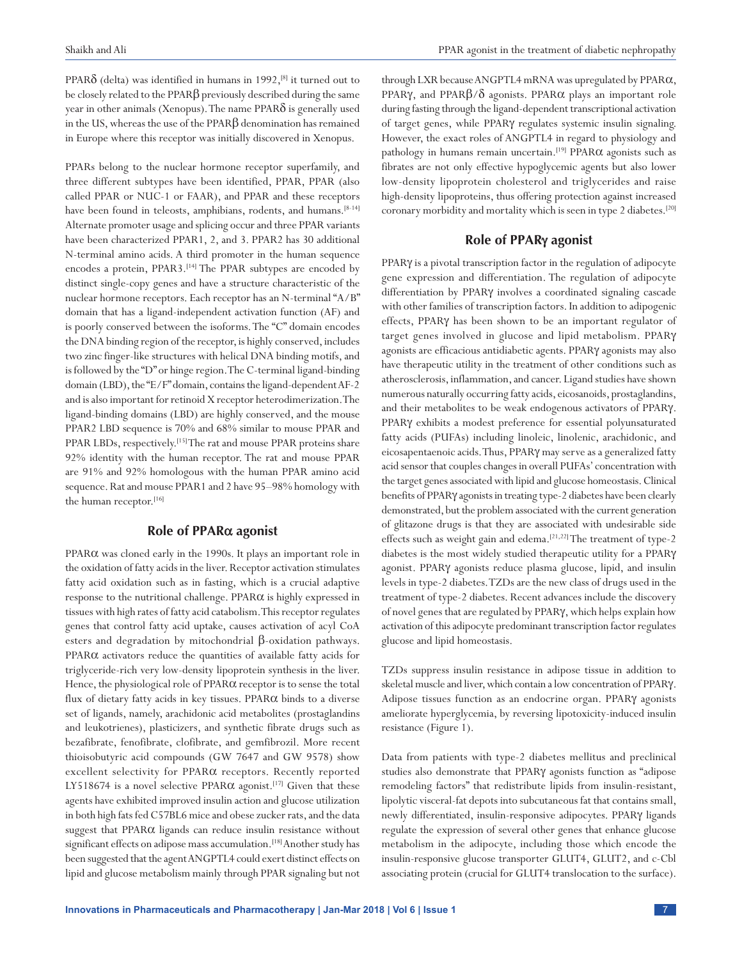PPAR $\delta$  (delta) was identified in humans in 1992,<sup>[8]</sup> it turned out to be closely related to the PPARβ previously described during the same year in other animals (Xenopus). The name  $PPAR\delta$  is generally used in the US, whereas the use of the PPARβ denomination has remained in Europe where this receptor was initially discovered in Xenopus.

PPARs belong to the nuclear hormone receptor superfamily, and three different subtypes have been identified, PPAR, PPAR (also called PPAR or NUC-1 or FAAR), and PPAR and these receptors have been found in teleosts, amphibians, rodents, and humans.<sup>[8-14]</sup> Alternate promoter usage and splicing occur and three PPAR variants have been characterized PPAR1, 2, and 3. PPAR2 has 30 additional N-terminal amino acids. A third promoter in the human sequence encodes a protein, PPAR3.<sup>[14]</sup> The PPAR subtypes are encoded by distinct single-copy genes and have a structure characteristic of the nuclear hormone receptors. Each receptor has an N-terminal "A/B" domain that has a ligand-independent activation function (AF) and is poorly conserved between the isoforms. The "C" domain encodes the DNA binding region of the receptor, is highly conserved, includes two zinc finger-like structures with helical DNA binding motifs, and is followed by the "D" or hinge region. The C-terminal ligand-binding domain (LBD), the "E/F" domain, contains the ligand-dependent AF-2 and is also important for retinoid X receptor heterodimerization. The ligand-binding domains (LBD) are highly conserved, and the mouse PPAR2 LBD sequence is 70% and 68% similar to mouse PPAR and PPAR LBDs, respectively.<sup>[15]</sup> The rat and mouse PPAR proteins share 92% identity with the human receptor. The rat and mouse PPAR are 91% and 92% homologous with the human PPAR amino acid sequence. Rat and mouse PPAR1 and 2 have 95–98% homology with the human receptor.<sup>[16]</sup>

### **Role of PPAR**α **agonist**

PPARα was cloned early in the 1990s. It plays an important role in the oxidation of fatty acids in the liver. Receptor activation stimulates fatty acid oxidation such as in fasting, which is a crucial adaptive response to the nutritional challenge. PPARα is highly expressed in tissues with high rates of fatty acid catabolism. This receptor regulates genes that control fatty acid uptake, causes activation of acyl CoA esters and degradation by mitochondrial β-oxidation pathways. PPARα activators reduce the quantities of available fatty acids for triglyceride-rich very low-density lipoprotein synthesis in the liver. Hence, the physiological role of PPARα receptor is to sense the total flux of dietary fatty acids in key tissues. PPARα binds to a diverse set of ligands, namely, arachidonic acid metabolites (prostaglandins and leukotrienes), plasticizers, and synthetic fibrate drugs such as bezafibrate, fenofibrate, clofibrate, and gemfibrozil. More recent thioisobutyric acid compounds (GW 7647 and GW 9578) show excellent selectivity for PPARα receptors. Recently reported LY518674 is a novel selective PPAR $\alpha$  agonist.<sup>[17]</sup> Given that these agents have exhibited improved insulin action and glucose utilization in both high fats fed C57BL6 mice and obese zucker rats, and the data suggest that PPARα ligands can reduce insulin resistance without significant effects on adipose mass accumulation.<sup>[18]</sup> Another study has been suggested that the agent ANGPTL4 could exert distinct effects on lipid and glucose metabolism mainly through PPAR signaling but not

through LXR because ANGPTL4 mRNA was upregulated by PPARα, PPARγ, and PPARβ/δ agonists. PPARα plays an important role during fasting through the ligand-dependent transcriptional activation of target genes, while PPARγ regulates systemic insulin signaling. However, the exact roles of ANGPTL4 in regard to physiology and pathology in humans remain uncertain.<sup>[19]</sup> PPAR $\alpha$  agonists such as fibrates are not only effective hypoglycemic agents but also lower low-density lipoprotein cholesterol and triglycerides and raise high-density lipoproteins, thus offering protection against increased coronary morbidity and mortality which is seen in type 2 diabetes.[20]

# **Role of PPAR**γ **agonist**

PPARγ is a pivotal transcription factor in the regulation of adipocyte gene expression and differentiation. The regulation of adipocyte differentiation by PPARγ involves a coordinated signaling cascade with other families of transcription factors. In addition to adipogenic effects, PPARγ has been shown to be an important regulator of target genes involved in glucose and lipid metabolism. PPARγ agonists are efficacious antidiabetic agents. PPARγ agonists may also have therapeutic utility in the treatment of other conditions such as atherosclerosis, inflammation, and cancer. Ligand studies have shown numerous naturally occurring fatty acids, eicosanoids, prostaglandins, and their metabolites to be weak endogenous activators of PPARγ. PPARγ exhibits a modest preference for essential polyunsaturated fatty acids (PUFAs) including linoleic, linolenic, arachidonic, and eicosapentaenoic acids. Thus, PPARγ may serve as a generalized fatty acid sensor that couples changes in overall PUFAs' concentration with the target genes associated with lipid and glucose homeostasis. Clinical benefits of PPARγ agonists in treating type-2 diabetes have been clearly demonstrated, but the problem associated with the current generation of glitazone drugs is that they are associated with undesirable side effects such as weight gain and edema.<sup>[21,22]</sup> The treatment of type-2 diabetes is the most widely studied therapeutic utility for a PPARγ agonist. PPARγ agonists reduce plasma glucose, lipid, and insulin levels in type-2 diabetes. TZDs are the new class of drugs used in the treatment of type-2 diabetes. Recent advances include the discovery of novel genes that are regulated by PPARγ, which helps explain how activation of this adipocyte predominant transcription factor regulates glucose and lipid homeostasis.

TZDs suppress insulin resistance in adipose tissue in addition to skeletal muscle and liver, which contain a low concentration of PPARγ. Adipose tissues function as an endocrine organ. PPARγ agonists ameliorate hyperglycemia, by reversing lipotoxicity-induced insulin resistance (Figure 1).

Data from patients with type-2 diabetes mellitus and preclinical studies also demonstrate that PPARγ agonists function as "adipose remodeling factors" that redistribute lipids from insulin-resistant, lipolytic visceral-fat depots into subcutaneous fat that contains small, newly differentiated, insulin-responsive adipocytes. PPARγ ligands regulate the expression of several other genes that enhance glucose metabolism in the adipocyte, including those which encode the insulin-responsive glucose transporter GLUT4, GLUT2, and c-Cbl associating protein (crucial for GLUT4 translocation to the surface).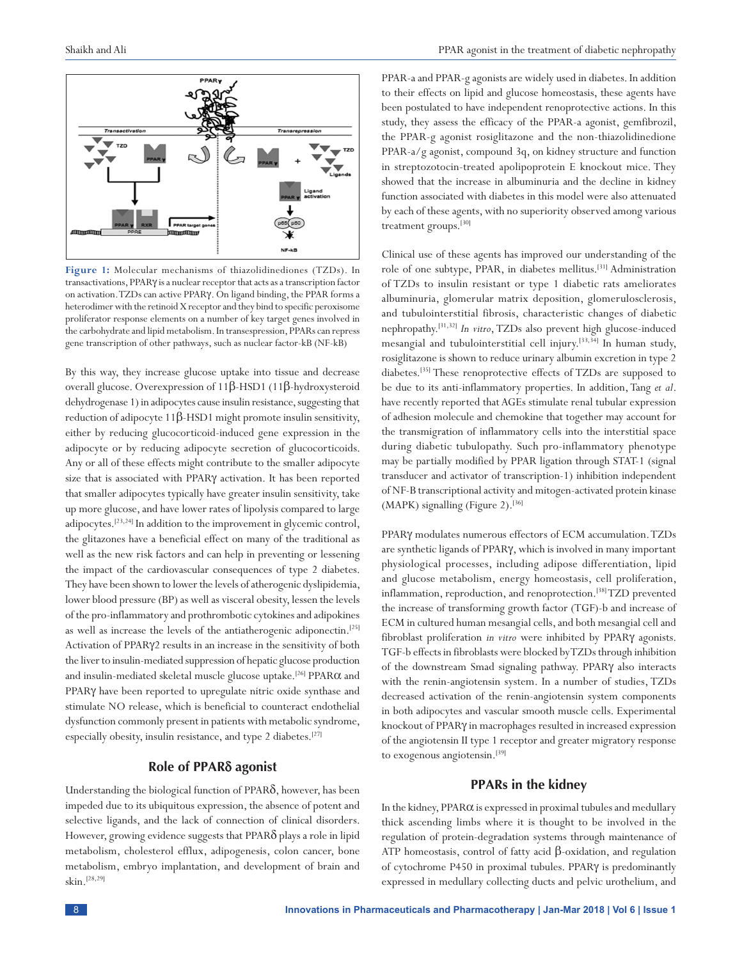

**Figure 1:** Molecular mechanisms of thiazolidinediones (TZDs). In transactivations, PPARγ is a nuclear receptor that acts as a transcription factor on activation. TZDs can active PPARγ. On ligand binding, the PPAR forms a heterodimer with the retinoid X receptor and they bind to specific peroxisome proliferator response elements on a number of key target genes involved in the carbohydrate and lipid metabolism. In transespression, PPARs can repress gene transcription of other pathways, such as nuclear factor-kB (NF-kB)

By this way, they increase glucose uptake into tissue and decrease overall glucose. Overexpression of 11β-HSD1 (11β-hydroxysteroid dehydrogenase 1) in adipocytes cause insulin resistance, suggesting that reduction of adipocyte  $11β$ -HSD1 might promote insulin sensitivity, either by reducing glucocorticoid-induced gene expression in the adipocyte or by reducing adipocyte secretion of glucocorticoids. Any or all of these effects might contribute to the smaller adipocyte size that is associated with PPARγ activation. It has been reported that smaller adipocytes typically have greater insulin sensitivity, take up more glucose, and have lower rates of lipolysis compared to large adipocytes.[23,24] In addition to the improvement in glycemic control, the glitazones have a beneficial effect on many of the traditional as well as the new risk factors and can help in preventing or lessening the impact of the cardiovascular consequences of type 2 diabetes. They have been shown to lower the levels of atherogenic dyslipidemia, lower blood pressure (BP) as well as visceral obesity, lessen the levels of the pro-inflammatory and prothrombotic cytokines and adipokines as well as increase the levels of the antiatherogenic adiponectin.[25] Activation of PPARγ2 results in an increase in the sensitivity of both the liver to insulin-mediated suppression of hepatic glucose production and insulin-mediated skeletal muscle glucose uptake.<sup>[26]</sup> PPAR $\alpha$  and PPARγ have been reported to upregulate nitric oxide synthase and stimulate NO release, which is beneficial to counteract endothelial dysfunction commonly present in patients with metabolic syndrome, especially obesity, insulin resistance, and type 2 diabetes.<sup>[27]</sup>

#### **Role of PPAR**δ **agonist**

Understanding the biological function of PPARδ, however, has been impeded due to its ubiquitous expression, the absence of potent and selective ligands, and the lack of connection of clinical disorders. However, growing evidence suggests that PPARδ plays a role in lipid metabolism, cholesterol efflux, adipogenesis, colon cancer, bone metabolism, embryo implantation, and development of brain and skin.[28,29]

PPAR-a and PPAR-g agonists are widely used in diabetes. In addition to their effects on lipid and glucose homeostasis, these agents have been postulated to have independent renoprotective actions. In this study, they assess the efficacy of the PPAR-a agonist, gemfibrozil, the PPAR-g agonist rosiglitazone and the non-thiazolidinedione PPAR-a/g agonist, compound 3q, on kidney structure and function in streptozotocin-treated apolipoprotein E knockout mice. They showed that the increase in albuminuria and the decline in kidney function associated with diabetes in this model were also attenuated by each of these agents, with no superiority observed among various treatment groups.[30]

Clinical use of these agents has improved our understanding of the role of one subtype, PPAR, in diabetes mellitus.[31] Administration of TZDs to insulin resistant or type 1 diabetic rats ameliorates albuminuria, glomerular matrix deposition, glomerulosclerosis, and tubulointerstitial fibrosis, characteristic changes of diabetic nephropathy.[31,32] *In vitro*, TZDs also prevent high glucose-induced mesangial and tubulointerstitial cell injury.[33,34] In human study, rosiglitazone is shown to reduce urinary albumin excretion in type 2 diabetes.[35] These renoprotective effects of TZDs are supposed to be due to its anti-inflammatory properties. In addition, Tang *et al*. have recently reported that AGEs stimulate renal tubular expression of adhesion molecule and chemokine that together may account for the transmigration of inflammatory cells into the interstitial space during diabetic tubulopathy. Such pro-inflammatory phenotype may be partially modified by PPAR ligation through STAT-1 (signal transducer and activator of transcription-1) inhibition independent of NF-B transcriptional activity and mitogen-activated protein kinase (MAPK) signalling (Figure 2).<sup>[36]</sup>

PPARγ modulates numerous effectors of ECM accumulation. TZDs are synthetic ligands of PPARγ, which is involved in many important physiological processes, including adipose differentiation, lipid and glucose metabolism, energy homeostasis, cell proliferation, inflammation, reproduction, and renoprotection.[38] TZD prevented the increase of transforming growth factor (TGF)-b and increase of ECM in cultured human mesangial cells, and both mesangial cell and fibroblast proliferation *in vitro* were inhibited by PPARγ agonists. TGF-b effects in fibroblasts were blocked by TZDs through inhibition of the downstream Smad signaling pathway. PPARγ also interacts with the renin-angiotensin system. In a number of studies, TZDs decreased activation of the renin-angiotensin system components in both adipocytes and vascular smooth muscle cells. Experimental knockout of PPARγ in macrophages resulted in increased expression of the angiotensin II type 1 receptor and greater migratory response to exogenous angiotensin.<sup>[39]</sup>

#### **PPARs in the kidney**

In the kidney,  $PPAR\alpha$  is expressed in proximal tubules and medullary thick ascending limbs where it is thought to be involved in the regulation of protein-degradation systems through maintenance of ATP homeostasis, control of fatty acid β-oxidation, and regulation of cytochrome P450 in proximal tubules. PPARγ is predominantly expressed in medullary collecting ducts and pelvic urothelium, and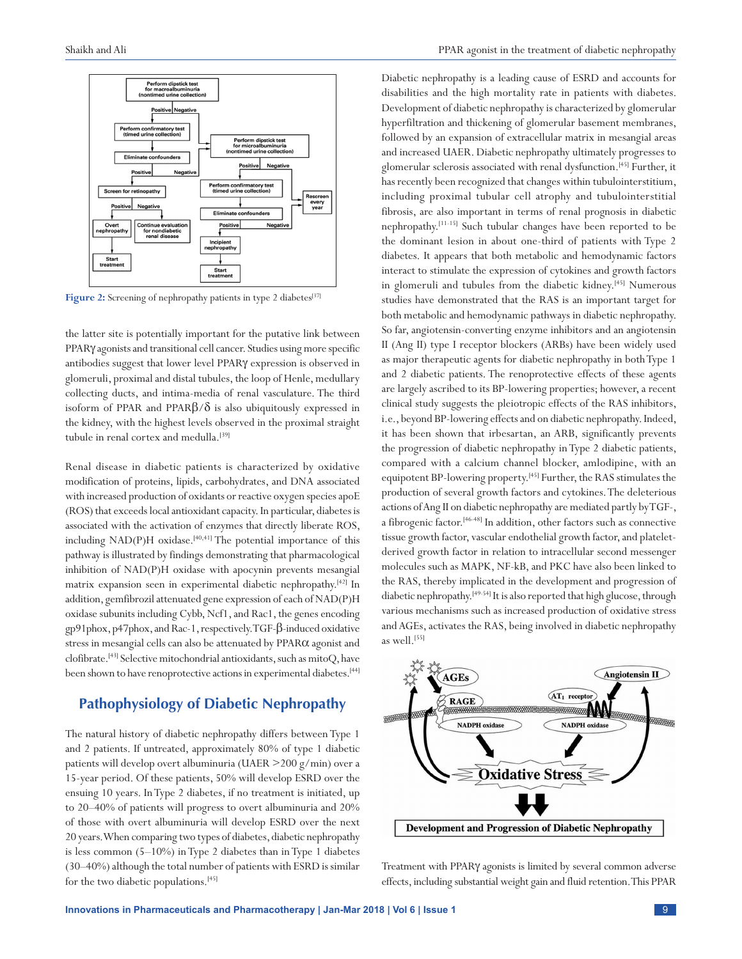

Figure 2: Screening of nephropathy patients in type 2 diabetes<sup>[37]</sup>

the latter site is potentially important for the putative link between PPARγ agonists and transitional cell cancer. Studies using more specific antibodies suggest that lower level PPARγ expression is observed in glomeruli, proximal and distal tubules, the loop of Henle, medullary collecting ducts, and intima-media of renal vasculature. The third isoform of PPAR and PPAR $\beta/\delta$  is also ubiquitously expressed in the kidney, with the highest levels observed in the proximal straight tubule in renal cortex and medulla.<sup>[39]</sup>

Renal disease in diabetic patients is characterized by oxidative modification of proteins, lipids, carbohydrates, and DNA associated with increased production of oxidants or reactive oxygen species apoE (ROS) that exceeds local antioxidant capacity. In particular, diabetes is associated with the activation of enzymes that directly liberate ROS, including NAD(P)H oxidase.<sup>[40,41]</sup> The potential importance of this pathway is illustrated by findings demonstrating that pharmacological inhibition of NAD(P)H oxidase with apocynin prevents mesangial matrix expansion seen in experimental diabetic nephropathy.[42] In addition, gemfibrozil attenuated gene expression of each of NAD(P)H oxidase subunits including Cybb, Ncf1, and Rac1, the genes encoding gp91phox, p47phox, and Rac-1, respectively. TGF-β-induced oxidative stress in mesangial cells can also be attenuated by PPARα agonist and clofibrate.[43] Selective mitochondrial antioxidants, such as mitoQ, have been shown to have renoprotective actions in experimental diabetes.<sup>[44]</sup>

# **Pathophysiology of Diabetic Nephropathy**

The natural history of diabetic nephropathy differs between Type 1 and 2 patients. If untreated, approximately 80% of type 1 diabetic patients will develop overt albuminuria (UAER >200 g/min) over a 15-year period. Of these patients, 50% will develop ESRD over the ensuing 10 years. In Type 2 diabetes, if no treatment is initiated, up to 20–40% of patients will progress to overt albuminuria and 20% of those with overt albuminuria will develop ESRD over the next 20 years. When comparing two types of diabetes, diabetic nephropathy is less common (5–10%) in Type 2 diabetes than in Type 1 diabetes (30–40%) although the total number of patients with ESRD is similar for the two diabetic populations.[45]

Diabetic nephropathy is a leading cause of ESRD and accounts for disabilities and the high mortality rate in patients with diabetes. Development of diabetic nephropathy is characterized by glomerular hyperfiltration and thickening of glomerular basement membranes, followed by an expansion of extracellular matrix in mesangial areas and increased UAER. Diabetic nephropathy ultimately progresses to glomerular sclerosis associated with renal dysfunction.[45] Further, it has recently been recognized that changes within tubulointerstitium, including proximal tubular cell atrophy and tubulointerstitial fibrosis, are also important in terms of renal prognosis in diabetic nephropathy.[11-15] Such tubular changes have been reported to be the dominant lesion in about one-third of patients with Type 2 diabetes. It appears that both metabolic and hemodynamic factors interact to stimulate the expression of cytokines and growth factors in glomeruli and tubules from the diabetic kidney.[45] Numerous studies have demonstrated that the RAS is an important target for both metabolic and hemodynamic pathways in diabetic nephropathy. So far, angiotensin-converting enzyme inhibitors and an angiotensin II (Ang II) type I receptor blockers (ARBs) have been widely used as major therapeutic agents for diabetic nephropathy in both Type 1 and 2 diabetic patients. The renoprotective effects of these agents are largely ascribed to its BP-lowering properties; however, a recent clinical study suggests the pleiotropic effects of the RAS inhibitors, i.e., beyond BP-lowering effects and on diabetic nephropathy. Indeed, it has been shown that irbesartan, an ARB, significantly prevents the progression of diabetic nephropathy in Type 2 diabetic patients, compared with a calcium channel blocker, amlodipine, with an equipotent BP-lowering property.[45] Further, the RAS stimulates the production of several growth factors and cytokines. The deleterious actions of Ang II on diabetic nephropathy are mediated partly by TGF-, a fibrogenic factor.[46-48] In addition, other factors such as connective tissue growth factor, vascular endothelial growth factor, and plateletderived growth factor in relation to intracellular second messenger molecules such as MAPK, NF-kB, and PKC have also been linked to the RAS, thereby implicated in the development and progression of diabetic nephropathy.<sup>[49-54]</sup> It is also reported that high glucose, through various mechanisms such as increased production of oxidative stress and AGEs, activates the RAS, being involved in diabetic nephropathy as well.<sup>[55]</sup>



Treatment with PPARγ agonists is limited by several common adverse effects, including substantial weight gain and fluid retention. This PPAR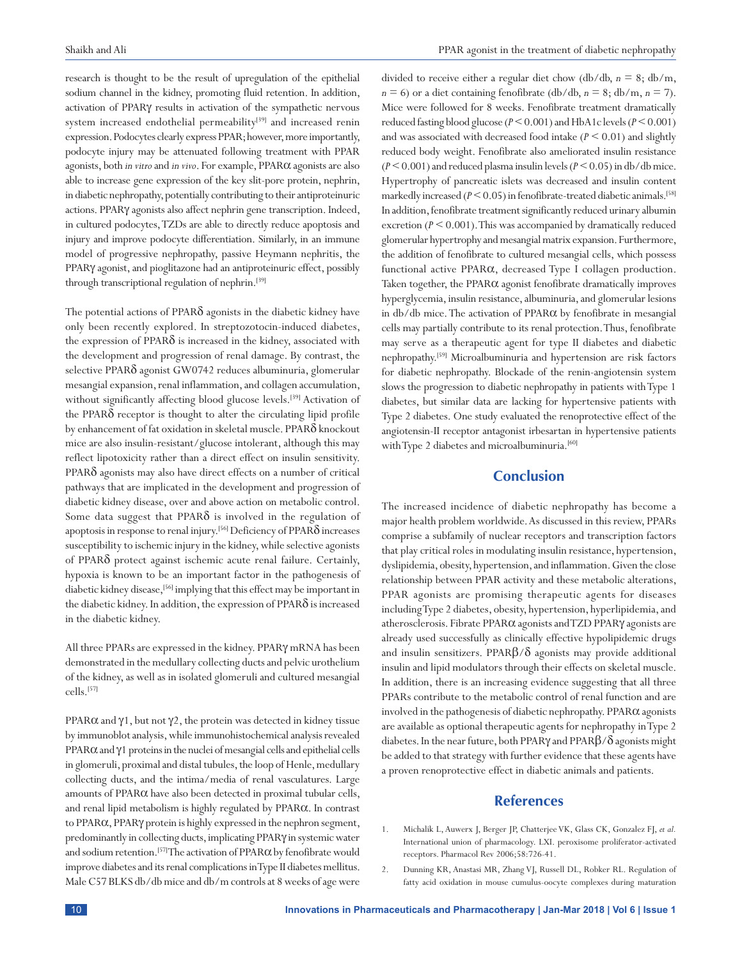research is thought to be the result of upregulation of the epithelial sodium channel in the kidney, promoting fluid retention. In addition, activation of PPARγ results in activation of the sympathetic nervous system increased endothelial permeability<sup>[39]</sup> and increased renin expression. Podocytes clearly express PPAR; however, more importantly, podocyte injury may be attenuated following treatment with PPAR agonists, both *in vitro* and *in vivo*. For example, PPARα agonists are also able to increase gene expression of the key slit-pore protein, nephrin, in diabetic nephropathy, potentially contributing to their antiproteinuric actions. PPARγ agonists also affect nephrin gene transcription. Indeed, in cultured podocytes, TZDs are able to directly reduce apoptosis and injury and improve podocyte differentiation. Similarly, in an immune model of progressive nephropathy, passive Heymann nephritis, the PPARγ agonist, and pioglitazone had an antiproteinuric effect, possibly through transcriptional regulation of nephrin.<sup>[39]</sup>

The potential actions of PPARδ agonists in the diabetic kidney have only been recently explored. In streptozotocin-induced diabetes, the expression of  $PPAR\delta$  is increased in the kidney, associated with the development and progression of renal damage. By contrast, the selective PPARδ agonist GW0742 reduces albuminuria, glomerular mesangial expansion, renal inflammation, and collagen accumulation, without significantly affecting blood glucose levels.<sup>[39]</sup> Activation of the PPARδ receptor is thought to alter the circulating lipid profile by enhancement of fat oxidation in skeletal muscle. PPARδ knockout mice are also insulin-resistant/glucose intolerant, although this may reflect lipotoxicity rather than a direct effect on insulin sensitivity. PPARδ agonists may also have direct effects on a number of critical pathways that are implicated in the development and progression of diabetic kidney disease, over and above action on metabolic control. Some data suggest that PPAR $\delta$  is involved in the regulation of apoptosis in response to renal injury.[56] Deficiency of PPARδ increases susceptibility to ischemic injury in the kidney, while selective agonists of PPARδ protect against ischemic acute renal failure. Certainly, hypoxia is known to be an important factor in the pathogenesis of diabetic kidney disease,<sup>[56]</sup> implying that this effect may be important in the diabetic kidney. In addition, the expression of PPARδ is increased in the diabetic kidney.

All three PPARs are expressed in the kidney. PPARγ mRNA has been demonstrated in the medullary collecting ducts and pelvic urothelium of the kidney, as well as in isolated glomeruli and cultured mesangial cells.[57]

PPAR $\alpha$  and  $\gamma$ 1, but not  $\gamma$ 2, the protein was detected in kidney tissue by immunoblot analysis, while immunohistochemical analysis revealed PPARαand γ1 proteins in the nuclei of mesangial cells and epithelial cells in glomeruli, proximal and distal tubules, the loop of Henle, medullary collecting ducts, and the intima/media of renal vasculatures. Large amounts of PPARα have also been detected in proximal tubular cells, and renal lipid metabolism is highly regulated by PPARα. In contrast to PPARα, PPARγ protein is highly expressed in the nephron segment, predominantly in collecting ducts, implicating PPARγ in systemic water and sodium retention.<sup>[57]</sup> The activation of  $PPAR\alpha$  by fenofibrate would improve diabetes and its renal complications in Type II diabetes mellitus. Male C57 BLKS db/db mice and db/m controls at 8 weeks of age were divided to receive either a regular diet chow (db/db, *n* = 8; db/m,  $n = 6$ ) or a diet containing fenofibrate (db/db,  $n = 8$ ; db/m,  $n = 7$ ). Mice were followed for 8 weeks. Fenofibrate treatment dramatically reduced fasting blood glucose (*P* < 0.001) and HbA1c levels (*P* < 0.001) and was associated with decreased food intake  $(P \le 0.01)$  and slightly reduced body weight. Fenofibrate also ameliorated insulin resistance (*P* < 0.001) and reduced plasma insulin levels (*P* < 0.05) in db/db mice. Hypertrophy of pancreatic islets was decreased and insulin content markedly increased  $(P \le 0.05)$  in fenofibrate-treated diabetic animals.<sup>[58]</sup> In addition, fenofibrate treatment significantly reduced urinary albumin excretion (*P* < 0.001). This was accompanied by dramatically reduced glomerular hypertrophy and mesangial matrix expansion. Furthermore, the addition of fenofibrate to cultured mesangial cells, which possess functional active PPARα, decreased Type I collagen production. Taken together, the PPARα agonist fenofibrate dramatically improves hyperglycemia, insulin resistance, albuminuria, and glomerular lesions in  $db/db$  mice. The activation of PPAR $\alpha$  by fenofibrate in mesangial cells may partially contribute to its renal protection. Thus, fenofibrate may serve as a therapeutic agent for type II diabetes and diabetic nephropathy.[59] Microalbuminuria and hypertension are risk factors for diabetic nephropathy. Blockade of the renin-angiotensin system slows the progression to diabetic nephropathy in patients with Type 1 diabetes, but similar data are lacking for hypertensive patients with Type 2 diabetes. One study evaluated the renoprotective effect of the angiotensin-II receptor antagonist irbesartan in hypertensive patients with Type 2 diabetes and microalbuminuria.<sup>[60]</sup>

# **Conclusion**

The increased incidence of diabetic nephropathy has become a major health problem worldwide. As discussed in this review, PPARs comprise a subfamily of nuclear receptors and transcription factors that play critical roles in modulating insulin resistance, hypertension, dyslipidemia, obesity, hypertension, and inflammation. Given the close relationship between PPAR activity and these metabolic alterations, PPAR agonists are promising therapeutic agents for diseases including Type 2 diabetes, obesity, hypertension, hyperlipidemia, and atherosclerosis. Fibrate PPARα agonists and TZD PPARγ agonists are already used successfully as clinically effective hypolipidemic drugs and insulin sensitizers. PPAR $\beta/\delta$  agonists may provide additional insulin and lipid modulators through their effects on skeletal muscle. In addition, there is an increasing evidence suggesting that all three PPARs contribute to the metabolic control of renal function and are involved in the pathogenesis of diabetic nephropathy. PPARα agonists are available as optional therapeutic agents for nephropathy in Type 2 diabetes. In the near future, both PPAR $\gamma$  and PPAR $\beta/\delta$  agonists might be added to that strategy with further evidence that these agents have a proven renoprotective effect in diabetic animals and patients.

## **References**

- 1. Michalik L, Auwerx J, Berger JP, Chatterjee VK, Glass CK, Gonzalez FJ, *et al.* International union of pharmacology. LXI. peroxisome proliferator-activated receptors. Pharmacol Rev 2006;58:726-41.
- 2. Dunning KR, Anastasi MR, Zhang VJ, Russell DL, Robker RL. Regulation of fatty acid oxidation in mouse cumulus-oocyte complexes during maturation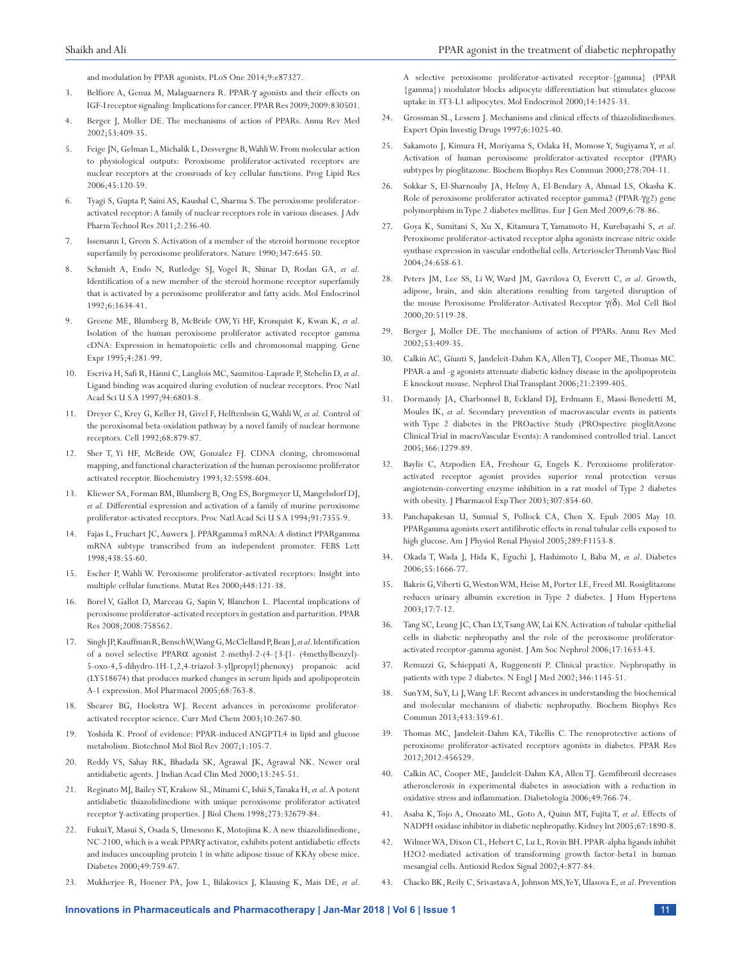and modulation by PPAR agonists. PLoS One 2014;9:e87327.

- 3. Belfiore A, Genua M, Malaguarnera R. PPAR-γ agonists and their effects on IGF-I receptor signaling: Implications for cancer. PPAR Res 2009;2009:830501.
- 4. Berger J, Moller DE. The mechanisms of action of PPARs. Annu Rev Med 2002;53:409-35.
- 5. Feige JN, Gelman L, Michalik L, Desvergne B, Wahli W. From molecular action to physiological outputs: Peroxisome proliferator-activated receptors are nuclear receptors at the crossroads of key cellular functions. Prog Lipid Res 2006;45:120-59.
- Tyagi S, Gupta P, Saini AS, Kaushal C, Sharma S. The peroxisome proliferatoractivated receptor: A family of nuclear receptors role in various diseases. JAdv Pharm Technol Res 2011;2:236-40.
- 7. Issemann I, Green S. Activation of a member of the steroid hormone receptor superfamily by peroxisome proliferators. Nature 1990;347:645-50.
- 8. Schmidt A, Endo N, Rutledge SJ, Vogel R, Shinar D, Rodan GA, *et al.* Identification of a new member of the steroid hormone receptor superfamily that is activated by a peroxisome proliferator and fatty acids. Mol Endocrinol 1992;6:1634-41.
- 9. Greene ME, Blumberg B, McBride OW, Yi HF, Kronquist K, Kwan K, *et al.* Isolation of the human peroxisome proliferator activated receptor gamma cDNA: Expression in hematopoietic cells and chromosomal mapping. Gene Expr 1995;4:281-99.
- 10. Escriva H, Safi R, Hänni C, Langlois MC, Saumitou-Laprade P, Stehelin D, *et al.* Ligand binding was acquired during evolution of nuclear receptors. Proc Natl Acad Sci U S A 1997;94:6803-8.
- 11. Dreyer C, Krey G, Keller H, Givel F, Helftenbein G, Wahli W, *et al.* Control of the peroxisomal beta-oxidation pathway by a novel family of nuclear hormone receptors. Cell 1992;68:879-87.
- 12. Sher T, Yi HF, McBride OW, Gonzalez FJ. CDNA cloning, chromosomal mapping, and functional characterization of the human peroxisome proliferator activated receptor. Biochemistry 1993;32:5598-604.
- 13. Kliewer SA, Forman BM, Blumberg B, Ong ES, Borgmeyer U, Mangelsdorf DJ, *et al.* Differential expression and activation of a family of murine peroxisome proliferator-activated receptors. Proc Natl Acad Sci U S A 1994;91:7355-9.
- 14. Fajas L, Fruchart JC, Auwerx J. PPARgamma3 mRNA: A distinct PPARgamma mRNA subtype transcribed from an independent promoter. FEBS Lett 1998;438:55-60.
- 15. Escher P, Wahli W. Peroxisome proliferator-activated receptors: Insight into multiple cellular functions. Mutat Res 2000;448:121-38.
- 16. Borel V, Gallot D, Marceau G, Sapin V, Blanchon L. Placental implications of peroxisome proliferator-activated receptors in gestation and parturition. PPAR Res 2008;2008:758562.
- 17. Singh JP, Kauffman R, Bensch W, Wang G, McClelland P, Bean J, *et al*. Identification of a novel selective PPARα agonist 2-methyl-2-(4-{3-[1- (4methylbenzyl)- 5-oxo-4,5-dihydro-1H-1,2,4-triazol-3-yl]propyl}phenoxy) propanoic acid (LY518674) that produces marked changes in serum lipids and apolipoprotein A-1 expression. Mol Pharmacol 2005;68:763-8.
- 18. Shearer BG, Hoekstra WJ. Recent advances in peroxisome proliferatoractivated receptor science. Curr Med Chem 2003;10:267-80.
- 19. Yoshida K. Proof of evidence: PPAR-induced ANGPTL4 in lipid and glucose metabolism. Biotechnol Mol Biol Rev 2007;1:105-7.
- 20. Reddy VS, Sahay RK, Bhadada SK, Agrawal JK, Agrawal NK. Newer oral antidiabetic agents. J Indian Acad Clin Med 2000;13:245-51.
- 21. Reginato MJ, Bailey ST, Krakow SL, Minami C, Ishii S, Tanaka H, *et al*. A potent antidiabetic thiazolidinedione with unique peroxisome proliferator activated receptor γ-activating properties. J Biol Chem 1998;273:32679-84.
- 22. Fukui Y, Masui S, Osada S, Umesono K, Motojima K. A new thiazolidinedione, NC-2100, which is a weak PPARγ activator, exhibits potent antidiabetic effects and induces uncoupling protein 1 in white adipose tissue of KKAy obese mice. Diabetes 2000;49:759-67.
- 23. Mukherjee R, Hoener PA, Jow L, Bilakovics J, Klausing K, Mais DE, *et al*.

A selective peroxisome proliferator-activated receptor-{gamma} (PPAR {gamma}) modulator blocks adipocyte differentiation but stimulates glucose uptake in 3T3-L1 adipocytes. Mol Endocrinol 2000;14:1425-33.

- Grossman SL, Lessem J. Mechanisms and clinical effects of thiazolidinediones. Expert Opin Investig Drugs 1997;6:1025-40.
- 25. Sakamoto J, Kimura H, Moriyama S, Odaka H, Momose Y, Sugiyama Y, *et al.* Activation of human peroxisome proliferator-activated receptor (PPAR) subtypes by pioglitazone. Biochem Biophys Res Commun 2000;278:704-11.
- 26. Sokkar S, El-Sharnouby JA, Helmy A, El-Bendary A, Ahmad LS, Okasha K. Role of peroxisome proliferator activated receptor gamma2 (PPAR-γg2) gene polymorphism in Type 2 diabetes mellitus. Eur J Gen Med 2009;6:78-86.
- 27. Goya K, Sumitani S, Xu X, Kitamura T, Yamamoto H, Kurebayashi S, *et al.* Peroxisome proliferator-activated receptor alpha agonists increase nitric oxide synthase expression in vascular endothelial cells. Arterioscler Thromb Vasc Biol 2004;24:658-63.
- 28. Peters JM, Lee SS, Li W, Ward JM, Gavrilova O, Everett C, *et al*. Growth, adipose, brain, and skin alterations resulting from targeted disruption of the mouse Peroxisome Proliferator-Activated Receptor γ(δ). Mol Cell Biol 2000;20:5119-28.
- 29. Berger J, Moller DE. The mechanisms of action of PPARs. Annu Rev Med 2002;53:409-35.
- 30. Calkin AC, Giunti S, Jandeleit-Dahm KA, Allen TJ, Cooper ME, Thomas MC. PPAR-a and -g agonists attenuate diabetic kidney disease in the apolipoprotein E knockout mouse. Nephrol Dial Transplant 2006;21:2399-405.
- 31. Dormandy JA, Charbonnel B, Eckland DJ, Erdmann E, Massi-Benedetti M, Moules IK, *et al*. Secondary prevention of macrovascular events in patients with Type 2 diabetes in the PROactive Study (PROspective pioglitAzone Clinical Trial in macroVascular Events): A randomised controlled trial. Lancet 2005;366:1279-89.
- 32. Baylis C, Atzpodien EA, Freshour G, Engels K. Peroxisome proliferatoractivated receptor agonist provides superior renal protection versus angiotensin-converting enzyme inhibition in a rat model of Type 2 diabetes with obesity. J Pharmacol Exp Ther 2003;307:854-60.
- 33. Panchapakesan U, Sumual S, Pollock CA, Chen X. Epub 2005 May 10. PPARgamma agonists exert antifibrotic effects in renal tubular cells exposed to high glucose. Am J Physiol Renal Physiol 2005;289:F1153-8.
- 34. Okada T, Wada J, Hida K, Eguchi J, Hashimoto I, Baba M, *et al*. Diabetes 2006;55:1666-77.
- 35. Bakris G, Viberti G, Weston WM, Heise M, Porter LE, Freed MI. Rosiglitazone reduces urinary albumin excretion in Type 2 diabetes. J Hum Hypertens 2003;17:7-12.
- 36. Tang SC, Leung JC, Chan LY, Tsang AW, Lai KN. Activation of tubular epithelial cells in diabetic nephropathy and the role of the peroxisome proliferatoractivated receptor-gamma agonist. J Am Soc Nephrol 2006;17:1633-43.
- 37. Remuzzi G, Schieppati A, Ruggenenti P. Clinical practice. Nephropathy in patients with type 2 diabetes. N Engl J Med 2002;346:1145-51.
- 38. Sun YM, Su Y, Li J, Wang LF. Recent advances in understanding the biochemical and molecular mechanism of diabetic nephropathy. Biochem Biophys Res Commun 2013;433:359-61.
- 39. Thomas MC, Jandeleit-Dahm KA, Tikellis C. The renoprotective actions of peroxisome proliferator-activated receptors agonists in diabetes. PPAR Res 2012;2012:456529.
- 40. Calkin AC, Cooper ME, Jandeleit-Dahm KA, Allen TJ. Gemfibrozil decreases atherosclerosis in experimental diabetes in association with a reduction in oxidative stress and inflammation. Diabetologia 2006;49:766-74.
- 41. Asaba K, Tojo A, Onozato ML, Goto A, Quinn MT, Fujita T, *et al*. Effects of NADPH oxidase inhibitor in diabetic nephropathy. Kidney Int 2005;67:1890-8.
- 42. Wilmer WA, Dixon CL, Hebert C, Lu L, Rovin BH. PPAR-alpha ligands inhibit H2O2-mediated activation of transforming growth factor-beta1 in human mesangial cells. Antioxid Redox Signal 2002;4:877-84.
- 43. Chacko BK, Reily C, Srivastava A, Johnson MS, Ye Y, Ulasova E, *et al*. Prevention